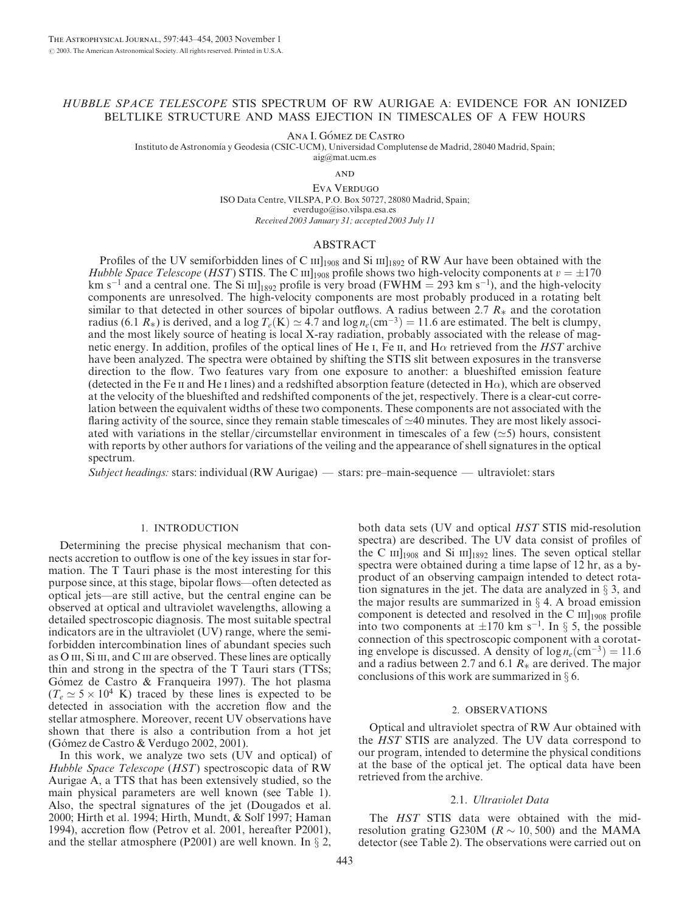# HUBBLE SPACE TELESCOPE STIS SPECTRUM OF RW AURIGAE A: EVIDENCE FOR AN IONIZED BELTLIKE STRUCTURE AND MASS EJECTION IN TIMESCALES OF A FEW HOURS

Ana I. Gómez de Castro

Instituto de Astronomı´a y Geodesia (CSIC-UCM), Universidad Complutense de Madrid, 28040 Madrid, Spain;

aig@mat.ucm.es

**AND** 

Eva VERDUGO ISO Data Centre, VILSPA, P.O. Box 50727, 28080 Madrid, Spain; everdugo@iso.vilspa.esa.es Received 2003 January 31; accepted 2003 July 11

#### ABSTRACT

Profiles of the UV semiforbidden lines of C  $\text{III}_{1908}$  and Si  $\text{III}_{1892}$  of RW Aur have been obtained with the Hubble Space Telescope (HST) STIS. The C  $\text{III}_{1908}$  profile shows two high-velocity components at  $v = \pm 170$ km s<sup>-1</sup> and a central one. The Si  $\text{III}_{1892}$  profile is very broad (FWHM = 293 km s<sup>-1</sup>), and the high-velocity components are unresolved. The high-velocity components are most probably produced in a rotating belt similar to that detected in other sources of bipolar outflows. A radius between 2.7  $R_*$  and the corotation radius (6.1  $R_*$ ) is derived, and a log  $T_e(K) \simeq 4.7$  and log  $n_e$  (cm<sup>-3</sup>) = 11.6 are estimated. The belt is clumpy, and the most likely source of heating is local X-ray radiation, probably associated with the release of magnetic energy. In addition, profiles of the optical lines of He I, Fe II, and H $\alpha$  retrieved from the HST archive have been analyzed. The spectra were obtained by shifting the STIS slit between exposures in the transverse direction to the flow. Two features vary from one exposure to another: a blueshifted emission feature (detected in the Fe II and He I lines) and a redshifted absorption feature (detected in  $H\alpha$ ), which are observed at the velocity of the blueshifted and redshifted components of the jet, respectively. There is a clear-cut correlation between the equivalent widths of these two components. These components are not associated with the flaring activity of the source, since they remain stable timescales of  $\simeq$ 40 minutes. They are most likely associ-ated with variations in the stellar/circumstellar environment in timescales of a few  $(\simeq 5)$  hours, consistent with reports by other authors for variations of the veiling and the appearance of shell signatures in the optical spectrum.

Subject headings: stars: individual (RW Aurigae) — stars: pre–main-sequence — ultraviolet: stars

#### 1. INTRODUCTION

Determining the precise physical mechanism that connects accretion to outflow is one of the key issues in star formation. The T Tauri phase is the most interesting for this purpose since, at this stage, bipolar flows—often detected as optical jets—are still active, but the central engine can be observed at optical and ultraviolet wavelengths, allowing a detailed spectroscopic diagnosis. The most suitable spectral indicators are in the ultraviolet (UV) range, where the semiforbidden intercombination lines of abundant species such as O III, Si III, and C III are observed. These lines are optically thin and strong in the spectra of the T Tauri stars (TTSs; Gómez de Castro & Franqueira 1997). The hot plasma  $(T_e \simeq 5 \times 10^4 \text{ K})$  traced by these lines is expected to be detected in association with the accretion flow and the stellar atmosphere. Moreover, recent UV observations have shown that there is also a contribution from a hot jet (Gómez de Castro & Verdugo 2002, 2001).

In this work, we analyze two sets (UV and optical) of Hubble Space Telescope (HST) spectroscopic data of RW Aurigae A, a TTS that has been extensively studied, so the main physical parameters are well known (see Table 1). Also, the spectral signatures of the jet (Dougados et al. 2000; Hirth et al. 1994; Hirth, Mundt, & Solf 1997; Haman 1994), accretion flow (Petrov et al. 2001, hereafter P2001), and the stellar atmosphere (P2001) are well known. In  $\S 2$ ,

both data sets (UV and optical HST STIS mid-resolution spectra) are described. The UV data consist of profiles of the C  $\text{III}_{1908}$  and Si  $\text{III}_{1892}$  lines. The seven optical stellar spectra were obtained during a time lapse of 12 hr, as a byproduct of an observing campaign intended to detect rotation signatures in the jet. The data are analyzed in  $\S$  3, and the major results are summarized in  $\S$  4. A broad emission component is detected and resolved in the C  $III$ <sub>1908</sub> profile into two components at  $\pm 170$  km s<sup>-1</sup>. In § 5, the possible connection of this spectroscopic component with a corotating envelope is discussed. A density of  $\log n_e(\text{cm}^{-3}) = 11.6$ and a radius between 2.7 and 6.1  $R_*$  are derived. The major conclusions of this work are summarized in  $\S$  6.

#### 2. OBSERVATIONS

Optical and ultraviolet spectra of RW Aur obtained with the HST STIS are analyzed. The UV data correspond to our program, intended to determine the physical conditions at the base of the optical jet. The optical data have been retrieved from the archive.

#### 2.1. Ultraviolet Data

The HST STIS data were obtained with the midresolution grating G230M ( $R \sim 10, 500$ ) and the MAMA detector (see Table 2). The observations were carried out on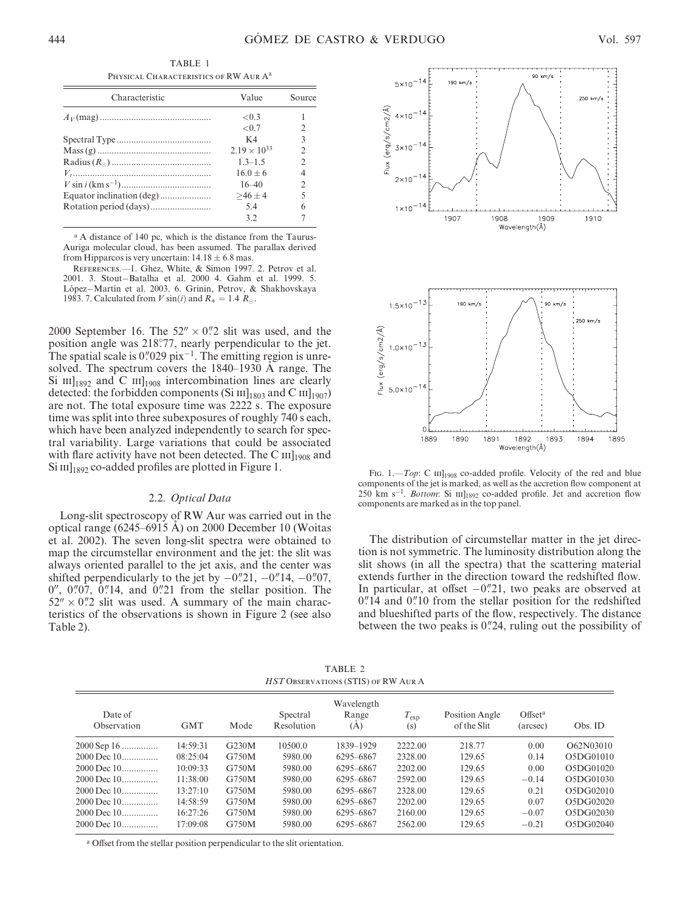TABLE 1 PHYSICAL CHARACTERISTICS OF RW AUR A<sup>a</sup>

| Characteristic | Value                          | Source         |
|----------------|--------------------------------|----------------|
|                | < 0.3                          |                |
|                | ${<}0.7$                       | $\mathfrak{D}$ |
|                | K4                             | 3              |
|                | 2.19 $\times$ 10 <sup>33</sup> | $\mathfrak{D}$ |
|                | $13-15$                        | $\mathfrak{D}$ |
|                | $16.0 + 6$                     | 4              |
|                | $16 - 40$                      | $\mathcal{D}$  |
|                | $>46 \pm 4$                    | 5              |
|                | 54                             | 6              |
|                | 32                             |                |

<sup>a</sup> A distance of 140 pc, which is the distance from the Taurus-Auriga molecular cloud, has been assumed. The parallax derived from Hipparcos is very uncertain:  $14.18 \pm 6.8$  mas.

References.—1. Ghez, White, & Simon 1997. 2. Petrov et al. 2001. 3. Stout-Batalha et al. 2000 4. Gahm et al. 1999. 5. López-Martín et al. 2003. 6. Grinin, Petrov, & Shakhovskaya 1983. 7. Calculated from V sin(i) and  $R_* = 1.4 R_{\odot}$ .

2000 September 16. The  $52'' \times 0''$  slit was used, and the position angle was 218°77, nearly perpendicular to the jet. The spatial scale is  $0''029$  pix<sup>-1</sup>. The emitting region is unresolved. The spectrum covers the  $1840-1930$  Å range. The Si  $\text{III}_{1892}$  and C  $\text{III}_{1908}$  intercombination lines are clearly detected: the forbidden components (Si  $\text{III}_{1803}$  and C  $\text{III}_{1907}$ ) are not. The total exposure time was 2222 s. The exposure time was split into three subexposures of roughly 740 s each, which have been analyzed independently to search for spectral variability. Large variations that could be associated with flare activity have not been detected. The C  $\text{III}_{1908}$  and  $\mathrm{Si} \mathrm{III}_{1892}$  co-added profiles are plotted in Figure 1.

### 2.2. Optical Data

Long-slit spectroscopy of RW Aur was carried out in the optical range (6245–6915  $\overline{A}$ ) on 2000 December 10 (Woitas et al. 2002). The seven long-slit spectra were obtained to map the circumstellar environment and the jet: the slit was always oriented parallel to the jet axis, and the center was shifted perpendicularly to the jet by  $-0\rlap{.}^{\prime\prime}21$ ,  $-0\rlap{.}^{\prime\prime}14$ ,  $-0\rlap{.}^{\prime\prime}07$ ,  $0''$ ,  $0''07$ ,  $0''14$ , and  $0''21$  from the stellar position. The  $52'' \times 0''$ ? slit was used. A summary of the main characteristics of the observations is shown in Figure 2 (see also Table 2).



Fig. 1.—*Top*: C  $\text{III}_{1908}$  co-added profile. Velocity of the red and blue components of the jet is marked, as well as the accretion flow component at 250 km s<sup>-1</sup>. Bottom: Si  $\text{III}_{1892}$  co-added profile. Jet and accretion flow components are marked as in the top panel.

The distribution of circumstellar matter in the jet direction is not symmetric. The luminosity distribution along the slit shows (in all the spectra) that the scattering material extends further in the direction toward the redshifted flow. In particular, at offset  $-0$ . 21, two peaks are observed at  $0$ ."14 and  $0$ ."10 from the stellar position for the redshifted and blueshifted parts of the flow, respectively. The distance between the two peaks is  $0\frac{24}{7}$ , ruling out the possibility of

TABLE 2 HST Observations (STIS) of RW Aur A

| Date of<br>Observation | <b>GMT</b> | Mode  | Spectral<br>Resolution | Wavelength<br>Range<br>(A) | $T_{\rm exp}$<br>(s) | Position Angle<br>of the Slit | Offset <sup>a</sup><br>(arcsec) | Obs. ID   |
|------------------------|------------|-------|------------------------|----------------------------|----------------------|-------------------------------|---------------------------------|-----------|
| $2000$ Sep 16          | 14:59:31   | G230M | 10500.0                | 1839-1929                  | 2222.00              | 218.77                        | 0.00                            | O62N03010 |
| 2000 Dec 10            | 08:25:04   | G750M | 5980.00                | 6295-6867                  | 2328.00              | 129.65                        | 0.14                            | O5DG01010 |
| 2000 Dec 10            | 10:09:33   | G750M | 5980.00                | 6295-6867                  | 2202.00              | 129.65                        | 0.00                            | O5DG01020 |
| 2000 Dec 10            | 11:38:00   | G750M | 5980.00                | 6295-6867                  | 2592.00              | 129.65                        | $-0.14$                         | O5DG01030 |
| 2000 Dec 10            | 13:27:10   | G750M | 5980.00                | 6295-6867                  | 2328.00              | 129.65                        | 0.21                            | O5DG02010 |
| 2000 Dec 10            | 14:58:59   | G750M | 5980.00                | 6295-6867                  | 2202.00              | 129.65                        | 0.07                            | O5DG02020 |
| 2000 Dec 10            | 16:27:26   | G750M | 5980.00                | 6295-6867                  | 2160.00              | 129.65                        | $-0.07$                         | O5DG02030 |
| 2000 Dec 10            | 17:09:08   | G750M | 5980.00                | 6295-6867                  | 2562.00              | 129.65                        | $-0.21$                         | O5DG02040 |

<sup>a</sup> Offset from the stellar position perpendicular to the slit orientation.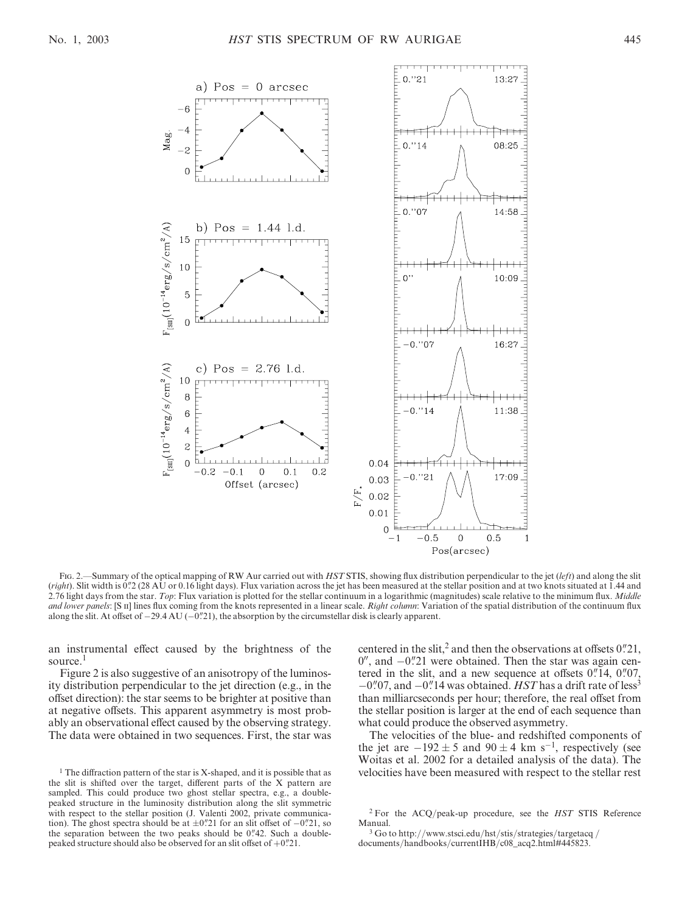

Fig. 2.—Summary of the optical mapping of RW Aur carried out with HST STIS, showing flux distribution perpendicular to the jet (left) and along the slit (right). Slit width is 0.'2 (28 AU or 0.16 light days). Flux variation across the jet has been measured at the stellar position and at two knots situated at 1.44 and 2.76 light days from the star. Top: Flux variation is plotted for the stellar continuum in a logarithmic (magnitudes) scale relative to the minimum flux. Middle and lower panels: [S II] lines flux coming from the knots represented in a linear scale. Right column: Variation of the spatial distribution of the continuum flux along the slit. At offset of  $-29.4 \text{ AU}$  ( $-0\text{."}21$ ), the absorption by the circumstellar disk is clearly apparent.

an instrumental effect caused by the brightness of the source.<sup>1</sup>

Figure 2 is also suggestive of an anisotropy of the luminosity distribution perpendicular to the jet direction (e.g., in the offset direction): the star seems to be brighter at positive than at negative offsets. This apparent asymmetry is most probably an observational effect caused by the observing strategy. The data were obtained in two sequences. First, the star was centered in the slit,<sup>2</sup> and then the observations at offsets  $0$ .  $21$ ,  $0''$ , and  $-0''$ . 21 were obtained. Then the star was again centered in the slit, and a new sequence at offsets  $0''14$ ,  $0''07$ ,  $-0$ ".07, and  $-0$ ".14 was obtained. HST has a drift rate of less<sup>3</sup> than milliarcseconds per hour; therefore, the real offset from the stellar position is larger at the end of each sequence than what could produce the observed asymmetry.

The velocities of the blue- and redshifted components of the jet are  $-192 \pm 5$  and  $90 \pm 4$  km s<sup>-1</sup>, respectively (see Woitas et al. 2002 for a detailed analysis of the data). The velocities have been measured with respect to the stellar rest

<sup>&</sup>lt;sup>1</sup> The diffraction pattern of the star is X-shaped, and it is possible that as the slit is shifted over the target, different parts of the X pattern are sampled. This could produce two ghost stellar spectra, e.g., a doublepeaked structure in the luminosity distribution along the slit symmetric with respect to the stellar position (J. Valenti 2002, private communication). The ghost spectra should be at  $\pm 0\rlap{.}^{\prime\prime}21$  for an slit offset of  $-0\rlap{.}^{\prime\prime}21$ , so the separation between the two peaks should be  $0$ . "42. Such a doublepeaked structure should also be observed for an slit offset of  $+0<sup>n</sup>21$ .

<sup>2</sup> For the ACQ/peak-up procedure, see the HST STIS Reference Manual.

<sup>3</sup> Go to http://www.stsci.edu/hst/stis/strategies/targetacq / documents/handbooks/currentIHB/c08 acq2.html#445823.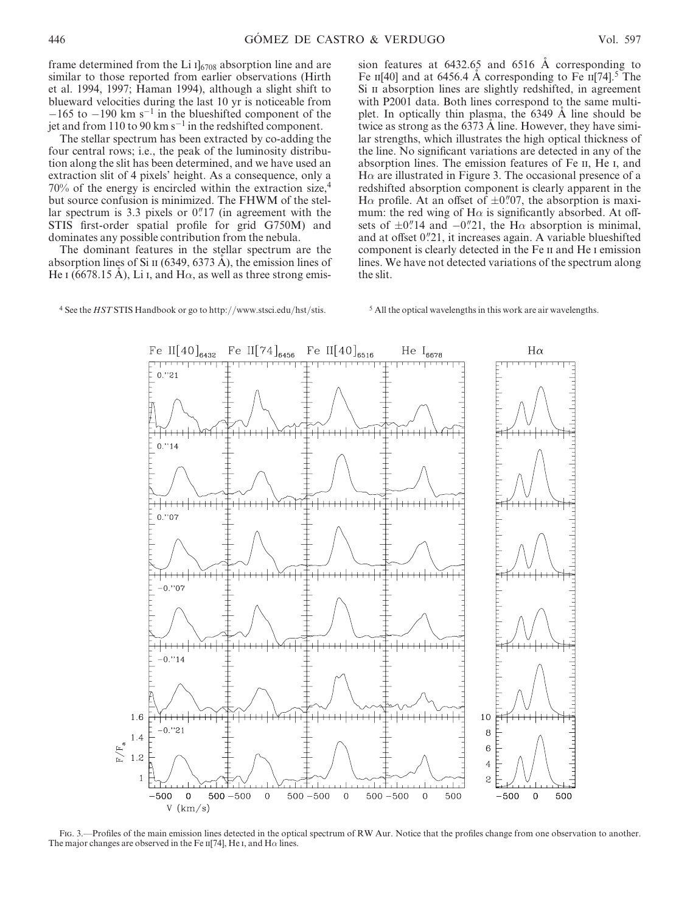Fe II[74]<sub>6456</sub> Fe II[40]<sub>6516</sub>

frame determined from the Li  $I<sub>6708</sub>$  absorption line and are similar to those reported from earlier observations (Hirth et al. 1994, 1997; Haman 1994), although a slight shift to blueward velocities during the last 10 yr is noticeable from  $-165$  to  $-190$  km s<sup>-1</sup> in the blueshifted component of the jet and from 110 to 90 km  $s^{-1}$  in the redshifted component.

The stellar spectrum has been extracted by co-adding the four central rows; i.e., the peak of the luminosity distribution along the slit has been determined, and we have used an extraction slit of 4 pixels' height. As a consequence, only a 70% of the energy is encircled within the extraction size,<sup>4</sup> but source confusion is minimized. The FHWM of the stellar spectrum is 3.3 pixels or  $0$ . 17 (in agreement with the STIS first-order spatial profile for grid G750M) and dominates any possible contribution from the nebula.

The dominant features in the stellar spectrum are the absorption lines of Si  $\pi$  (6349, 6373 A), the emission lines of He I (6678.15 A), Li I, and H $\alpha$ , as well as three strong emission features at  $6432.65$  and  $6516$  Å corresponding to Fe  $\text{II}[40]$  and at 6456.4 A corresponding to Fe  $\text{II}[74]$ .<sup>5</sup> The Si II absorption lines are slightly redshifted, in agreement with P2001 data. Both lines correspond to the same multiplet. In optically thin plasma, the 6349 A line should be twice as strong as the  $6373$  Å line. However, they have similar strengths, which illustrates the high optical thickness of the line. No significant variations are detected in any of the absorption lines. The emission features of Fe ii, He i, and  $H\alpha$  are illustrated in Figure 3. The occasional presence of a redshifted absorption component is clearly apparent in the H $\alpha$  profile. At an offset of  $\pm 0\degree{07}$ , the absorption is maximum: the red wing of  $H\alpha$  is significantly absorbed. At offsets of  $\pm 0$ ." 14 and  $-0$ ." 21, the H $\alpha$  absorption is minimal, and at offset 0."21, it increases again. A variable blueshifted component is clearly detected in the Fe II and He I emission lines. We have not detected variations of the spectrum along the slit.

<sup>4</sup> See the *HST* STIS Handbook or go to http://www.stsci.edu/hst/stis. <sup>5</sup> All the optical wavelengths in this work are air wavelengths.

Fe II $[40]_{6432}$ 

 $0.721$ 

 $H\alpha$ 

 $He I_{6678}$ 



Fig. 3.—Profiles of the main emission lines detected in the optical spectrum of RW Aur. Notice that the profiles change from one observation to another. The major changes are observed in the Fe  $\pi$ [74], He I, and H $\alpha$  lines.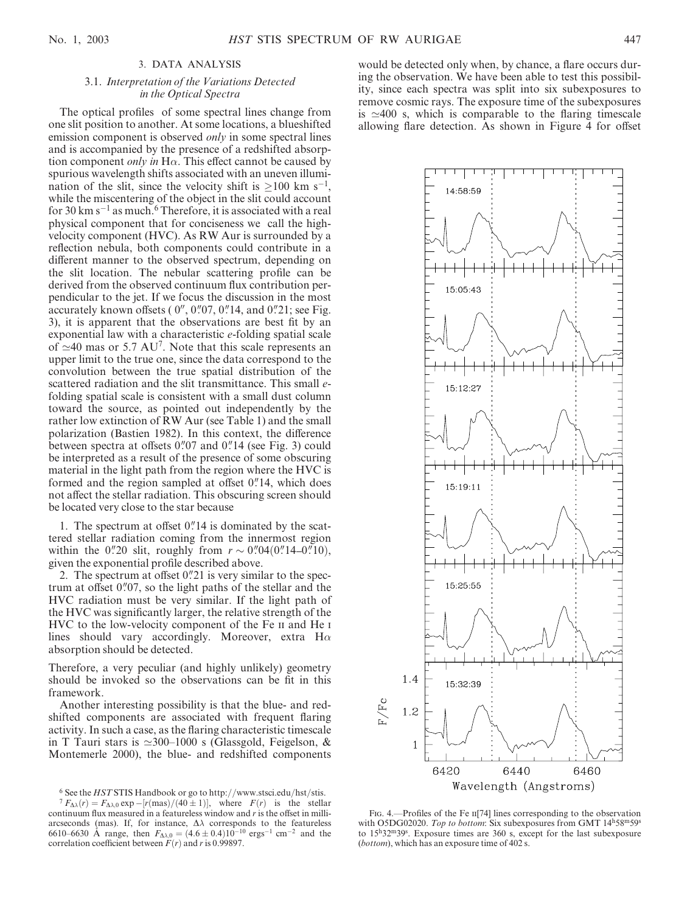# 3. DATA ANALYSIS

# 3.1. Interpretation of the Variations Detected in the Optical Spectra

The optical profiles of some spectral lines change from one slit position to another. At some locations, a blueshifted emission component is observed *only* in some spectral lines and is accompanied by the presence of a redshifted absorption component *only in* H $\alpha$ . This effect cannot be caused by spurious wavelength shifts associated with an uneven illumination of the slit, since the velocity shift is  $\geq 100$  km s<sup>-1</sup>, while the miscentering of the object in the slit could account for 30 km s<sup>-1</sup> as much.<sup>6</sup> Therefore, it is associated with a real physical component that for conciseness we call the highvelocity component (HVC). As RW Aur is surrounded by a reflection nebula, both components could contribute in a different manner to the observed spectrum, depending on the slit location. The nebular scattering profile can be derived from the observed continuum flux contribution perpendicular to the jet. If we focus the discussion in the most accurately known offsets ( $0''$ ,  $0''$ ,  $0''$ ,  $0''$ ,  $14$ , and  $0''$ ,  $21$ ; see Fig. 3), it is apparent that the observations are best fit by an exponential law with a characteristic e-folding spatial scale of  $\simeq$ 40 mas or 5.7 AU<sup>7</sup>. Note that this scale represents an upper limit to the true one, since the data correspond to the convolution between the true spatial distribution of the scattered radiation and the slit transmittance. This small *e*folding spatial scale is consistent with a small dust column toward the source, as pointed out independently by the rather low extinction of RW Aur (see Table 1) and the small polarization (Bastien 1982). In this context, the difference between spectra at offsets  $0\rlap.{''}07$  and  $0\rlap.{''}14$  (see Fig. 3) could be interpreted as a result of the presence of some obscuring material in the light path from the region where the HVC is formed and the region sampled at offset  $0$ ."14, which does not affect the stellar radiation. This obscuring screen should be located very close to the star because

1. The spectrum at offset  $0$ . 14 is dominated by the scattered stellar radiation coming from the innermost region within the 0.'20 slit, roughly from  $r \sim 0.04(0.14 - 0.10)$ , given the exponential profile described above.

2. The spectrum at offset  $0$ .  $21$  is very similar to the spectrum at offset  $0$ ." $07$ , so the light paths of the stellar and the HVC radiation must be very similar. If the light path of the HVC was significantly larger, the relative strength of the HVC to the low-velocity component of the Fe II and He I lines should vary accordingly. Moreover, extra  $H\alpha$ absorption should be detected.

Therefore, a very peculiar (and highly unlikely) geometry should be invoked so the observations can be fit in this framework.

Another interesting possibility is that the blue- and redshifted components are associated with frequent flaring activity. In such a case, as the flaring characteristic timescale in T Tauri stars is  $\simeq 300-1000$  s (Glassgold, Feigelson, & Montemerle 2000), the blue- and redshifted components

would be detected only when, by chance, a flare occurs during the observation. We have been able to test this possibility, since each spectra was split into six subexposures to remove cosmic rays. The exposure time of the subexposures is  $\simeq 400$  s, which is comparable to the flaring timescale allowing flare detection. As shown in Figure 4 for offset



FIG. 4.—Profiles of the Fe II<sup>[74]</sup> lines corresponding to the observation with O5DG02020. Top to bottom: Six subexposures from GMT  $14<sup>h</sup>58<sup>m</sup>59<sup>s</sup>$ to 15h32m39s . Exposure times are 360 s, except for the last subexposure (bottom), which has an exposure time of 402 s.

 $^6$  See the  $HST$  STIS Handbook or go to http://www.stsci.edu/hst/stis.

 ${}^{7}F_{\Delta\lambda}(r) = F_{\Delta\lambda,0} \exp{-[r(\text{mas})/(40 \pm 1)]}$ , where  $F(r)$  is the stellar continuum flux measured in a featureless window and  $r$  is the offset in milliarcseconds (mas). If, for instance,  $\Delta\lambda$  corresponds to the featureless 6610–6630 Å range, then  $F_{\Delta\lambda,0} = (4.6 \pm 0.4)10^{-10}$  ergs<sup>-1</sup> cm<sup>-2</sup> and the correlation coefficient between  $F(r)$  and r is 0.99897.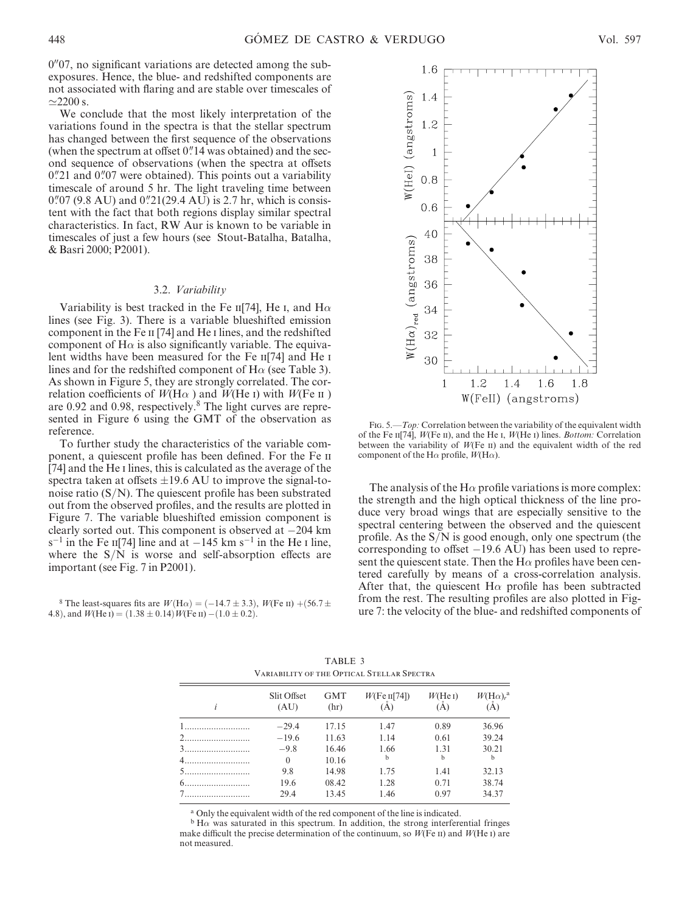$0<sup>0</sup>07$ , no significant variations are detected among the subexposures. Hence, the blue- and redshifted components are not associated with flaring and are stable over timescales of  $\simeq$ 2200 s.

We conclude that the most likely interpretation of the variations found in the spectra is that the stellar spectrum has changed between the first sequence of the observations (when the spectrum at offset  $0$ ." 14 was obtained) and the second sequence of observations (when the spectra at offsets  $0$ . 21 and  $0$ . 07 were obtained). This points out a variability timescale of around 5 hr. The light traveling time between  $0\rlap.{''}07$  (9.8 AU) and  $0\rlap.{''}21(29.4 \text{ AU})$  is 2.7 hr, which is consistent with the fact that both regions display similar spectral characteristics. In fact, RW Aur is known to be variable in timescales of just a few hours (see Stout-Batalha, Batalha, & Basri 2000; P2001).

#### 3.2. Variability

Variability is best tracked in the Fe  $\text{II}[74]$ , He I, and H $\alpha$ lines (see Fig. 3). There is a variable blueshifted emission component in the Fe II [74] and He I lines, and the redshifted component of  $H\alpha$  is also significantly variable. The equivalent widths have been measured for the Fe  $\text{II}[74]$  and He i lines and for the redshifted component of  $H\alpha$  (see Table 3). As shown in Figure 5, they are strongly correlated. The correlation coefficients of  $W(H\alpha)$  and  $W(He)$  with  $W(Fe)$  ii are 0.92 and 0.98, respectively.<sup>8</sup> The light curves are represented in Figure 6 using the GMT of the observation as reference.

To further study the characteristics of the variable component, a quiescent profile has been defined. For the Fe ii [74] and the He i lines, this is calculated as the average of the spectra taken at offsets  $\pm 19.6$  AU to improve the signal-tonoise ratio  $(S/N)$ . The quiescent profile has been substrated out from the observed profiles, and the results are plotted in Figure 7. The variable blueshifted emission component is clearly sorted out. This component is observed at  $-204$  km  $s^{-1}$  in the Fe  $\text{II}[74]$  line and at  $-145$  km  $s^{-1}$  in the He I line, where the  $S/N$  is worse and self-absorption effects are important (see Fig. 7 in P2001).

<sup>8</sup> The least-squares fits are  $W(\text{H}\alpha) = (-14.7 \pm 3.3)$ ,  $W(\text{Fe II}) + (56.7 \pm 1.5)$ 4.8), and  $W(\text{He I}) = (1.38 \pm 0.14) W(\text{Fe II}) - (1.0 \pm 0.2)$ .



FIG. 5.—*Top*: Correlation between the variability of the equivalent width of the Fe  $\pi$ [74],  $W$ (Fe  $\pi$ ), and the He  $\pi$ ,  $W$ (He  $\pi$ ) lines. *Bottom:* Correlation between the variability of  $W$ (Fe  $\pi$ ) and the equivalent width of the red component of the H $\alpha$  profile,  $W(\text{H}\alpha)$ .

The analysis of the H $\alpha$  profile variations is more complex: the strength and the high optical thickness of the line produce very broad wings that are especially sensitive to the spectral centering between the observed and the quiescent profile. As the  $S/N$  is good enough, only one spectrum (the corresponding to offset  $-19.6$  AU) has been used to represent the quiescent state. Then the  $H\alpha$  profiles have been centered carefully by means of a cross-correlation analysis. After that, the quiescent H $\alpha$  profile has been subtracted from the rest. The resulting profiles are also plotted in Figure 7: the velocity of the blue- and redshifted components of

| <u>Landerin vi ille vi hvar strran strving</u> |                     |                    |                        |                |                                         |  |  |
|------------------------------------------------|---------------------|--------------------|------------------------|----------------|-----------------------------------------|--|--|
|                                                | Slit Offset<br>(AU) | <b>GMT</b><br>(hr) | $W$ (Fe II[74])<br>(A) | W(He I)<br>(A) | $W(\mathrm{H}\alpha)_r^{\alpha}$<br>(A) |  |  |
|                                                | $-29.4$             | 17.15              | 1.47                   | 0.89           | 36.96                                   |  |  |
|                                                | $-19.6$             | 11.63              | 1.14                   | 0.61           | 39.24                                   |  |  |
|                                                | $-9.8$              | 16.46              | 1.66                   | 1.31           | 30.21                                   |  |  |
|                                                | $\theta$            | 10.16              | h                      | b              | h                                       |  |  |
|                                                | 9.8                 | 14.98              | 1.75                   | 1.41           | 32.13                                   |  |  |
|                                                | 19.6                | 08.42              | 1.28                   | 0.71           | 38.74                                   |  |  |
|                                                | 29.4                | 13.45              | 1.46                   | 0.97           | 34.37                                   |  |  |

TABLE 3 Variability of the Optical Stellar Spectra

a Only the equivalent width of the red component of the line is indicated.

 $b$  H $\alpha$  was saturated in this spectrum. In addition, the strong interferential fringes make difficult the precise determination of the continuum, so  $W$ (Fe II) and  $W$ (He I) are not measured.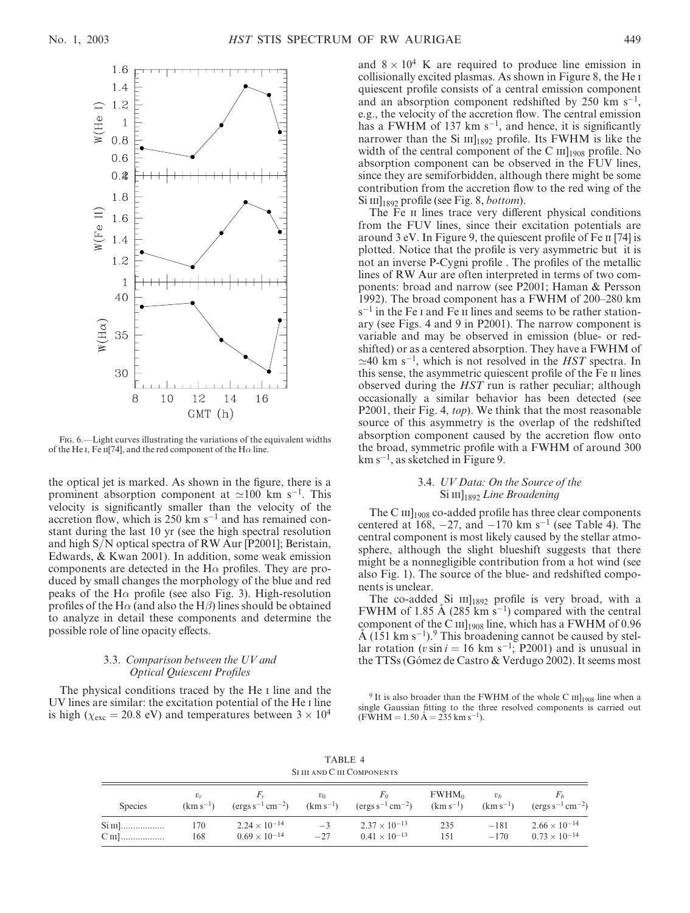

Fig. 6.—Light curves illustrating the variations of the equivalent widths of the He i, Fe ii[74], and the red component of the H $\alpha$  line.

the optical jet is marked. As shown in the figure, there is a prominent absorption component at  $\simeq$ 100 km s<sup>-1</sup>. This velocity is significantly smaller than the velocity of the accretion flow, which is  $250 \text{ km s}^{-1}$  and has remained constant during the last 10 yr (see the high spectral resolution and high S/N optical spectra of RW Aur [P2001]; Beristain, Edwards, & Kwan 2001). In addition, some weak emission components are detected in the  $H\alpha$  profiles. They are produced by small changes the morphology of the blue and red peaks of the H $\alpha$  profile (see also Fig. 3). High-resolution profiles of the H $\alpha$  (and also the H $\beta$ ) lines should be obtained to analyze in detail these components and determine the possible role of line opacity effects.

### 3.3. Comparison between the UV and Optical Quiescent Profiles

The physical conditions traced by the He I line and the UV lines are similar: the excitation potential of the He i line is high ( $\chi_{\rm exc}$  = 20.8 eV) and temperatures between 3  $\times$  10<sup>4</sup> and  $8 \times 10^4$  K are required to produce line emission in collisionally excited plasmas. As shown in Figure 8, the He i quiescent profile consists of a central emission component and an absorption component redshifted by  $250 \text{ km s}^{-1}$ , e.g., the velocity of the accretion flow. The central emission has a FWHM of 137 km  $s^{-1}$ , and hence, it is significantly narrower than the Si  $III<sub>1892</sub>$  profile. Its FWHM is like the width of the central component of the C  $\text{III}_{1908}$  profile. No absorption component can be observed in the FUV lines, since they are semiforbidden, although there might be some contribution from the accretion flow to the red wing of the  $\mathrm{Si}$  III]<sub>1892</sub> profile (see Fig. 8, *bottom*).

The Fe II lines trace very different physical conditions from the FUV lines, since their excitation potentials are around 3 eV. In Figure 9, the quiescent profile of Fe ii [74] is plotted. Notice that the profile is very asymmetric but it is not an inverse P-Cygni profile . The profiles of the metallic lines of RW Aur are often interpreted in terms of two components: broad and narrow (see P2001; Haman & Persson 1992). The broad component has a FWHM of 200–280 km  $s^{-1}$  in the Fe I and Fe II lines and seems to be rather stationary (see Figs. 4 and 9 in P2001). The narrow component is variable and may be observed in emission (blue- or redshifted) or as a centered absorption. They have a FWHM of  $\simeq$ 40 km s<sup>-1</sup>, which is not resolved in the *HST* spectra. In this sense, the asymmetric quiescent profile of the Fe ii lines observed during the HST run is rather peculiar; although occasionally a similar behavior has been detected (see P2001, their Fig. 4, *top*). We think that the most reasonable source of this asymmetry is the overlap of the redshifted absorption component caused by the accretion flow onto the broad, symmetric profile with a FWHM of around 300  $km s^{-1}$ , as sketched in Figure 9.

### 3.4. UV Data: On the Source of the  $\mathrm{Si}\,\mathrm{III}_{1892}$  Line Broadening

The C  $III$ <sub>1908</sub> co-added profile has three clear components centered at 168,  $-27$ , and  $-170$  km s<sup>-1</sup> (see Table 4). The central component is most likely caused by the stellar atmosphere, although the slight blueshift suggests that there might be a nonnegligible contribution from a hot wind (see also Fig. 1). The source of the blue- and redshifted components is unclear.

The co-added Si  $\text{III}_{1892}$  profile is very broad, with a FWHM of 1.85 Å (285 km s<sup>-1</sup>) compared with the central component of the C III]<sub>1908</sub> line, which has a FWHM of 0.96  $A$  (151 km s<sup>-1</sup>).<sup>9</sup> This broadening cannot be caused by stellar rotation ( $v \sin i = 16$  km s<sup>-1</sup>; P2001) and is unusual in the TTSs (Gómez de Castro & Verdugo 2002). It seems most

<sup>9</sup> It is also broader than the FWHM of the whole C  $III<sub>1908</sub>$  line when a single Gaussian fitting to the three resolved components is carried out  $(F\overline{W}HM = 1.50 \text{ Å} = 235 \text{ km s}^{-1}).$ 

TABLE 4 SI III AND C III COMPONENTS

| <b>Species</b> | $(km s^{-1})$ | $(\text{ergs s}^{-1} \text{ cm}^{-2})$           | $v_0$<br>$(km s^{-1})$ | $F_{\rm 0}$<br>$(\text{ergs s}^{-1} \text{ cm}^{-2})$ | FWHM <sub>0</sub><br>$(km s^{-1})$ | v <sub>b</sub><br>$(km s^{-1})$ | $\rm (ergs\,s^{-1}\,cm^{-2})$                    |
|----------------|---------------|--------------------------------------------------|------------------------|-------------------------------------------------------|------------------------------------|---------------------------------|--------------------------------------------------|
| $C$ III]       | 170<br>168    | $2.24 \times 10^{-14}$<br>$0.69 \times 10^{-14}$ | $-3$<br>$-27$          | $2.37 \times 10^{-13}$<br>$0.41 \times 10^{-13}$      | 235<br>151                         | $-181$<br>$-170$                | $2.66 \times 10^{-14}$<br>$0.73 \times 10^{-14}$ |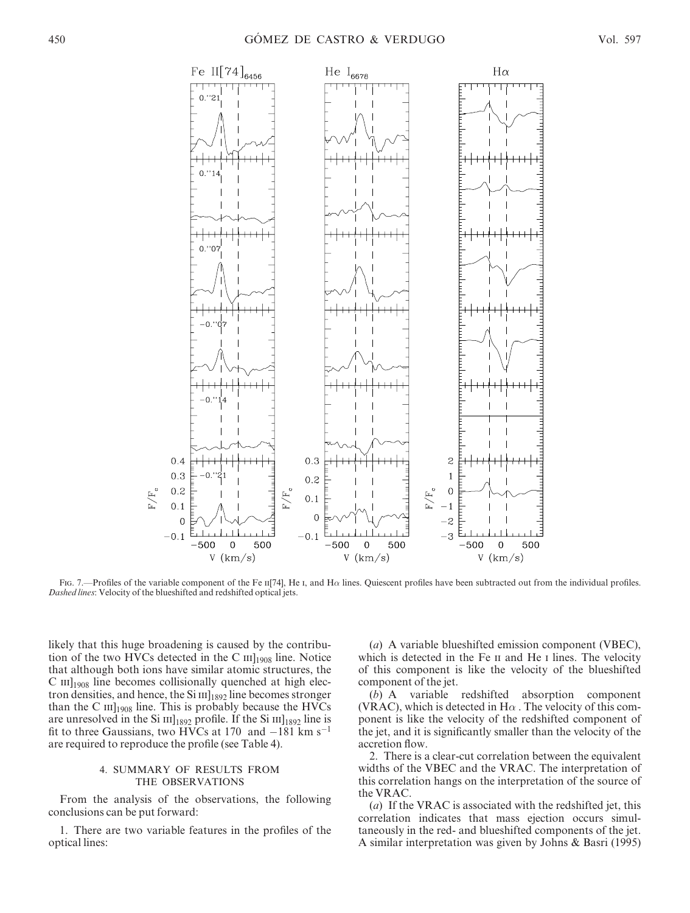

Fig. 7.—Profiles of the variable component of the Fe n[74], He I, and H $\alpha$  lines. Quiescent profiles have been subtracted out from the individual profiles. Dashed lines: Velocity of the blueshifted and redshifted optical jets.

likely that this huge broadening is caused by the contribution of the two HVCs detected in the C  $III<sub>1908</sub>$  line. Notice that although both ions have similar atomic structures, the  $C$  III]<sub>1908</sub> line becomes collisionally quenched at high electron densities, and hence, the Si  $III<sub>1892</sub>$  line becomes stronger than the C  $\text{III}_{1908}$  line. This is probably because the HVCs are unresolved in the Si  $\text{III}_{1892}$  profile. If the Si  $\text{III}_{1892}$  line is fit to three Gaussians, two HVCs at 170 and  $-181 \text{ km s}^{-1}$ are required to reproduce the profile (see Table 4).

# 4. SUMMARY OF RESULTS FROM THE OBSERVATIONS

From the analysis of the observations, the following conclusions can be put forward:

1. There are two variable features in the profiles of the optical lines:

(a) A variable blueshifted emission component (VBEC), which is detected in the Fe II and He I lines. The velocity of this component is like the velocity of the blueshifted component of the jet.

(b) A variable redshifted absorption component (VRAC), which is detected in  $H\alpha$ . The velocity of this component is like the velocity of the redshifted component of the jet, and it is significantly smaller than the velocity of the accretion flow.

2. There is a clear-cut correlation between the equivalent widths of the VBEC and the VRAC. The interpretation of this correlation hangs on the interpretation of the source of the VRAC.

(a) If the VRAC is associated with the redshifted jet, this correlation indicates that mass ejection occurs simultaneously in the red- and blueshifted components of the jet. A similar interpretation was given by Johns & Basri (1995)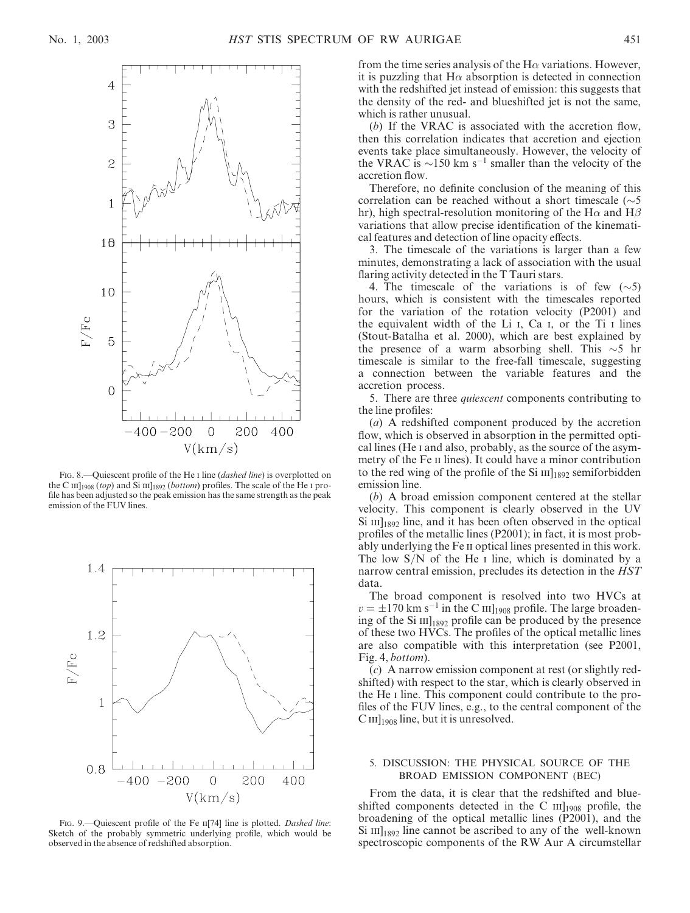

Fig. 8.—Quiescent profile of the He I line (*dashed line*) is overplotted on the C  $\text{III}_{1908}$  (top) and Si  $\text{III}_{1892}$  (bottom) profiles. The scale of the He I profile has been adjusted so the peak emission has the same strength as the peak emission of the FUV lines.



FIG. 9.—Quiescent profile of the Fe II[74] line is plotted. Dashed line: Sketch of the probably symmetric underlying profile, which would be observed in the absence of redshifted absorption.

from the time series analysis of the  $H\alpha$  variations. However, it is puzzling that  $H\alpha$  absorption is detected in connection with the redshifted jet instead of emission: this suggests that the density of the red- and blueshifted jet is not the same, which is rather unusual.

(b) If the VRAC is associated with the accretion flow, then this correlation indicates that accretion and ejection events take place simultaneously. However, the velocity of the VRAC is  $\sim$ 150 km s<sup>-1</sup> smaller than the velocity of the accretion flow.

Therefore, no definite conclusion of the meaning of this correlation can be reached without a short timescale  $(\sim 5$ hr), high spectral-resolution monitoring of the H $\alpha$  and H $\beta$ variations that allow precise identification of the kinematical features and detection of line opacity effects.

3. The timescale of the variations is larger than a few minutes, demonstrating a lack of association with the usual flaring activity detected in the T Tauri stars.

4. The timescale of the variations is of few  $(\sim 5)$ hours, which is consistent with the timescales reported for the variation of the rotation velocity (P2001) and the equivalent width of the Li i, Ca i, or the Ti i lines (Stout-Batalha et al. 2000), which are best explained by the presence of a warm absorbing shell. This  $\sim$ 5 hr timescale is similar to the free-fall timescale, suggesting a connection between the variable features and the accretion process.

5. There are three *quiescent* components contributing to the line profiles:

(a) A redshifted component produced by the accretion flow, which is observed in absorption in the permitted optical lines (He i and also, probably, as the source of the asymmetry of the Fe II lines). It could have a minor contribution to the red wing of the profile of the Si  $III<sub>1892</sub>$  semiforbidden emission line.

(b) A broad emission component centered at the stellar velocity. This component is clearly observed in the UV  $\mathrm{Si}$  III]<sub>1892</sub> line, and it has been often observed in the optical profiles of the metallic lines (P2001); in fact, it is most probably underlying the Fe ii optical lines presented in this work. The low  $S/N$  of the He I line, which is dominated by a narrow central emission, precludes its detection in the HST data.

The broad component is resolved into two HVCs at  $v = \pm 170$  km s<sup>-1</sup> in the C  $\text{III}_{1908}$  profile. The large broadening of the Si  $\text{III}_{1892}$  profile can be produced by the presence of these two HVCs. The profiles of the optical metallic lines are also compatible with this interpretation (see P2001, Fig. 4, bottom).

(c) A narrow emission component at rest (or slightly redshifted) with respect to the star, which is clearly observed in the He i line. This component could contribute to the profiles of the FUV lines, e.g., to the central component of the  $\text{C}\,\textsc{iii}\,\text{1908}$  line, but it is unresolved.

### 5. DISCUSSION: THE PHYSICAL SOURCE OF THE BROAD EMISSION COMPONENT (BEC)

From the data, it is clear that the redshifted and blueshifted components detected in the C  $\text{III}_{1908}$  profile, the broadening of the optical metallic lines (P2001), and the  $\mathrm{Si}$  III]<sub>1892</sub> line cannot be ascribed to any of the well-known spectroscopic components of the RW Aur A circumstellar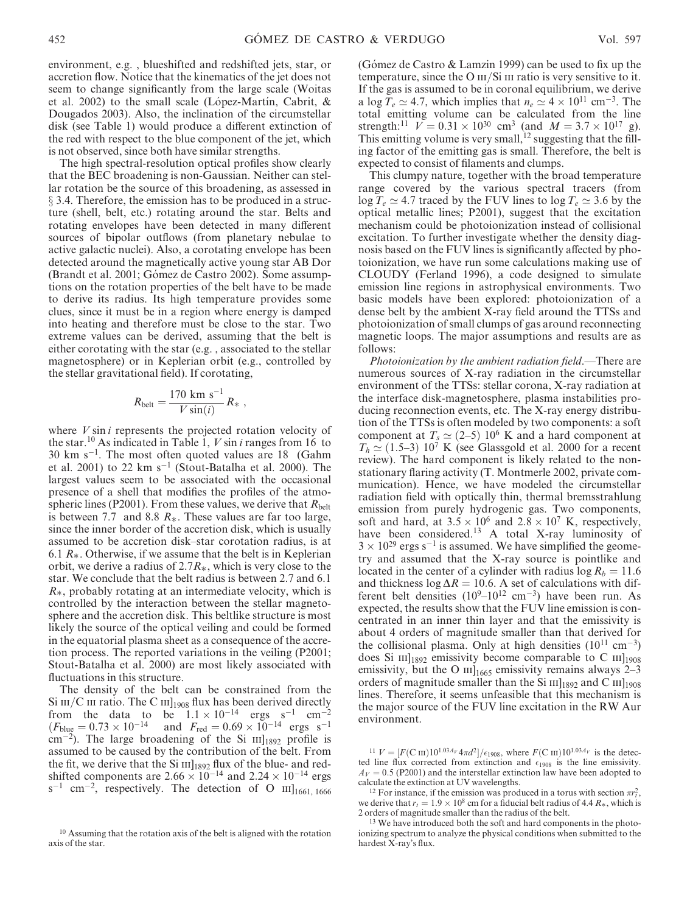environment, e.g. , blueshifted and redshifted jets, star, or accretion flow. Notice that the kinematics of the jet does not seem to change significantly from the large scale (Woitas et al. 2002) to the small scale (López-Martín, Cabrit,  $\&$ Dougados 2003). Also, the inclination of the circumstellar disk (see Table 1) would produce a different extinction of the red with respect to the blue component of the jet, which is not observed, since both have similar strengths.

The high spectral-resolution optical profiles show clearly that the BEC broadening is non-Gaussian. Neither can stellar rotation be the source of this broadening, as assessed in  $\S$  3.4. Therefore, the emission has to be produced in a structure (shell, belt, etc.) rotating around the star. Belts and rotating envelopes have been detected in many different sources of bipolar outflows (from planetary nebulae to active galactic nuclei). Also, a corotating envelope has been detected around the magnetically active young star AB Dor (Brandt et al. 2001; Gómez de Castro 2002). Some assumptions on the rotation properties of the belt have to be made to derive its radius. Its high temperature provides some clues, since it must be in a region where energy is damped into heating and therefore must be close to the star. Two extreme values can be derived, assuming that the belt is either corotating with the star (e.g. , associated to the stellar magnetosphere) or in Keplerian orbit (e.g., controlled by the stellar gravitational field). If corotating,

$$
R_{\text{belt}} = \frac{170 \text{ km s}^{-1}}{V \sin(i)} R_{*} ,
$$

where  $V \sin i$  represents the projected rotation velocity of the star.<sup>10</sup> As indicated in Table 1,  $V \sin i$  ranges from 16 to  $30 \text{ km s}^{-1}$ . The most often quoted values are 18 (Gahm et al. 2001) to 22  $\rm km~s^{-1}$  (Stout-Batalha et al. 2000). The largest values seem to be associated with the occasional presence of a shell that modifies the profiles of the atmospheric lines (P2001). From these values, we derive that  $R_{\text{belt}}$ is between 7.7 and 8.8  $R_{\ast}$ . These values are far too large, since the inner border of the accretion disk, which is usually assumed to be accretion disk–star corotation radius, is at 6.1  $R_{*}$ . Otherwise, if we assume that the belt is in Keplerian orbit, we derive a radius of  $2.7R_{*}$ , which is very close to the star. We conclude that the belt radius is between 2.7 and 6.1  $R_{*}$ , probably rotating at an intermediate velocity, which is controlled by the interaction between the stellar magnetosphere and the accretion disk. This beltlike structure is most likely the source of the optical veiling and could be formed in the equatorial plasma sheet as a consequence of the accretion process. The reported variations in the veiling (P2001; Stout-Batalha et al. 2000) are most likely associated with fluctuations in this structure.

The density of the belt can be constrained from the Si III/C III ratio. The C III]<sub>1908</sub> flux has been derived directly from the data to be  $1.1 \times 10^{-14}$  ergs s<sup>-1</sup> cm<sup>-2</sup>  $(F_{blue} = 0.73 \times 10^{-14}$  and  $F_{red} = 0.69 \times 10^{-14}$  ergs s<sup>-1</sup>  $\rm cm^{-2}$ ). The large broadening of the Si  $\rm HI_{1892}$  profile is assumed to be caused by the contribution of the belt. From the fit, we derive that the Si  $\text{III}_{1892}$  flux of the blue- and redshifted components are  $2.66 \times 10^{-14}$  and  $2.24 \times 10^{-14}$  ergs  $s^{-1}$  cm<sup>-2</sup>, respectively. The detection of O III]<sub>1661, 1666</sub>

(Gómez de Castro  $& Lamzin$  1999) can be used to fix up the temperature, since the O  $III/Si III$  ratio is very sensitive to it. If the gas is assumed to be in coronal equilibrium, we derive a log  $\bar{T}_e \simeq 4.7$ , which implies that  $n_e \simeq 4 \times 10^{11}$  cm<sup>-3</sup>. The total emitting volume can be calculated from the line strength:<sup>11</sup>  $V = 0.31 \times 10^{30}$  cm<sup>3</sup> (and  $M = 3.7 \times 10^{17}$  g). This emitting volume is very small,  $^{12}$  suggesting that the filling factor of the emitting gas is small. Therefore, the belt is expected to consist of filaments and clumps.

This clumpy nature, together with the broad temperature range covered by the various spectral tracers (from  $\log T_e \simeq 4.7$  traced by the FUV lines to  $\log T_e \simeq 3.6$  by the optical metallic lines; P2001), suggest that the excitation mechanism could be photoionization instead of collisional excitation. To further investigate whether the density diagnosis based on the FUV lines is significantly affected by photoionization, we have run some calculations making use of CLOUDY (Ferland 1996), a code designed to simulate emission line regions in astrophysical environments. Two basic models have been explored: photoionization of a dense belt by the ambient X-ray field around the TTSs and photoionization of small clumps of gas around reconnecting magnetic loops. The major assumptions and results are as follows:

Photoionization by the ambient radiation field.—There are numerous sources of X-ray radiation in the circumstellar environment of the TTSs: stellar corona, X-ray radiation at the interface disk-magnetosphere, plasma instabilities producing reconnection events, etc. The X-ray energy distribution of the TTSs is often modeled by two components: a soft component at  $T_s \simeq (2-5)$  10<sup>6</sup> K and a hard component at  $T_h \simeq (1.5-3) 10^7$  K (see Glassgold et al. 2000 for a recent review). The hard component is likely related to the nonstationary flaring activity (T. Montmerle 2002, private communication). Hence, we have modeled the circumstellar radiation field with optically thin, thermal bremsstrahlung emission from purely hydrogenic gas. Two components, soft and hard, at  $3.5 \times 10^6$  and  $2.8 \times 10^7$  K, respectively, have been considered.<sup>13</sup> A total X-ray luminosity of  $3 \times 10^{29}$  ergs s<sup>-1</sup> is assumed. We have simplified the geometry and assumed that the X-ray source is pointlike and located in the center of a cylinder with radius  $\log R_b = 11.6$ and thickness  $\log \Delta R = 10.6$ . A set of calculations with different belt densities  $(10^9-10^{12} \text{ cm}^{-3})$  have been run. As expected, the results show that the FUV line emission is concentrated in an inner thin layer and that the emissivity is about 4 orders of magnitude smaller than that derived for the collisional plasma. Only at high densities  $(10^{11} \text{ cm}^{-3})$ does Si  $\text{III}_{1892}$  emissivity become comparable to C  $\text{III}_{1908}$ emissivity, but the O  $\text{III}_{1665}$  emissivity remains always 2–3 orders of magnitude smaller than the Si  $\text{III}_{1892}$  and C  $\text{III}_{1908}$ lines. Therefore, it seems unfeasible that this mechanism is the major source of the FUV line excitation in the RW Aur environment.

<sup>&</sup>lt;sup>10</sup> Assuming that the rotation axis of the belt is aligned with the rotation axis of the star.

<sup>&</sup>lt;sup>11</sup>  $V = [F(\text{C m})10^{1.03A_V}4\pi d^2]/\epsilon_{1908}$ , where  $F(\text{C m})10^{1.03A_V}$  is the detected line flux corrected from extinction and  $\epsilon_{1908}$  is the line emissivity.  $A_V = 0.5$  (P2001) and the interstellar extinction law have been adopted to calculate the extinction at UV wavelengths.

<sup>&</sup>lt;sup>12</sup> For instance, if the emission was produced in a torus with section  $\pi r_t^2$ , we derive that  $r_t = 1.9 \times 10^8$  cm for a fiducial belt radius of 4.4  $R_*$ , which is 2 orders of magnitude smaller than the radius of the belt.

<sup>&</sup>lt;sup>13</sup> We have introduced both the soft and hard components in the photoionizing spectrum to analyze the physical conditions when submitted to the hardest  $\hat{X}$ -ray's flux.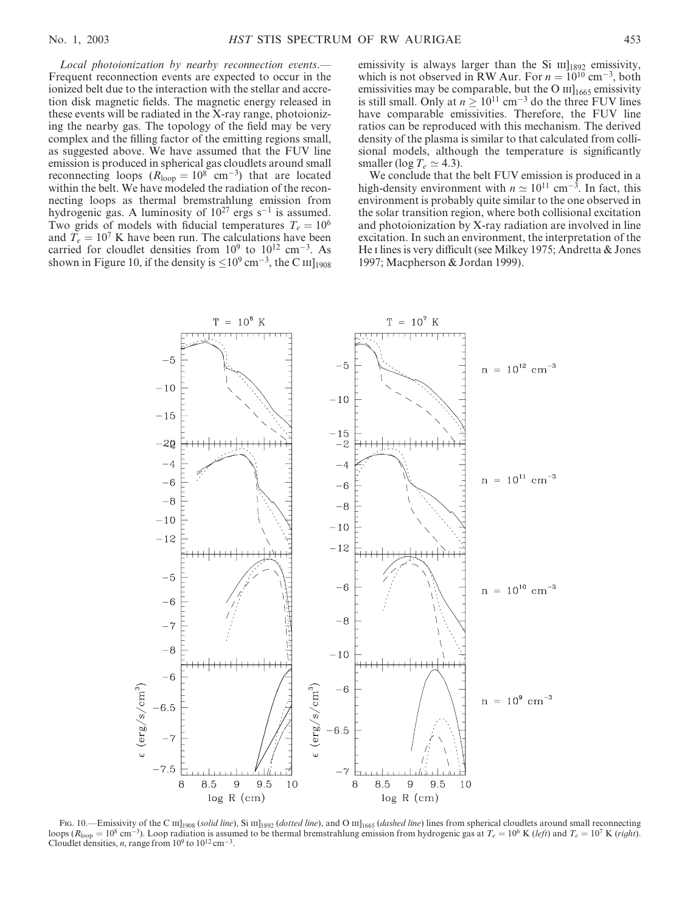Local photoionization by nearby reconnection events.— Frequent reconnection events are expected to occur in the ionized belt due to the interaction with the stellar and accretion disk magnetic fields. The magnetic energy released in these events will be radiated in the X-ray range, photoionizing the nearby gas. The topology of the field may be very complex and the filling factor of the emitting regions small, as suggested above. We have assumed that the FUV line emission is produced in spherical gas cloudlets around small reconnecting loops  $(R<sub>loop</sub> = 10<sup>8</sup>$  cm<sup>-3</sup>) that are located within the belt. We have modeled the radiation of the reconnecting loops as thermal bremstrahlung emission from hydrogenic gas. A luminosity of  $10^{27}$  ergs s<sup>-1</sup> is assumed. Two grids of models with fiducial temperatures  $T_e = 10^6$ and  $T_e = 10^7$  K have been run. The calculations have been carried for cloudlet densities from  $10^9$  to  $10^{12}$  cm<sup>-3</sup>. As shown in Figure 10, if the density is  $\leq$ 10<sup>9</sup> cm<sup>-3</sup>, the C <sub>III</sub>]<sub>1908</sub> emissivity is always larger than the Si  $\text{III}_{1892}$  emissivity, which is not observed in RW Aur. For  $n = 10^{10}$  cm<sup>-3</sup>, both emissivities may be comparable, but the O  $\text{III}_{1665}$  emissivity is still small. Only at  $n \geq 10^{11}$  cm<sup>-3</sup> do the three FUV lines have comparable emissivities. Therefore, the FUV line ratios can be reproduced with this mechanism. The derived density of the plasma is similar to that calculated from collisional models, although the temperature is significantly smaller (log  $T_e \simeq 4.3$ ).

We conclude that the belt FUV emission is produced in a high-density environment with  $n \approx 10^{11}$  cm<sup>-3</sup>. In fact, this environment is probably quite similar to the one observed in the solar transition region, where both collisional excitation and photoionization by X-ray radiation are involved in line excitation. In such an environment, the interpretation of the He i lines is very difficult (see Milkey 1975; Andretta & Jones 1997; Macpherson & Jordan 1999).



Fig. 10.—Emissivity of the C III]<sub>1908</sub> (solid line), Si III]<sub>1892</sub> (dotted line), and O III]<sub>1665</sub> (dashed line) lines from spherical cloudlets around small reconnecting loops ( $R_{\text{loop}} = 10^8 \text{ cm}^{-3}$ ). Loop radiation is assumed to be thermal bremstrahlung emission from hydrogenic gas at  $T_e = 10^6 \text{ K}$  (left) and  $T_e = 10^7 \text{ K}$  (right). Cloudlet densities, *n*, range from  $10^9$  to  $10^{12}$  cm<sup>-3</sup>.